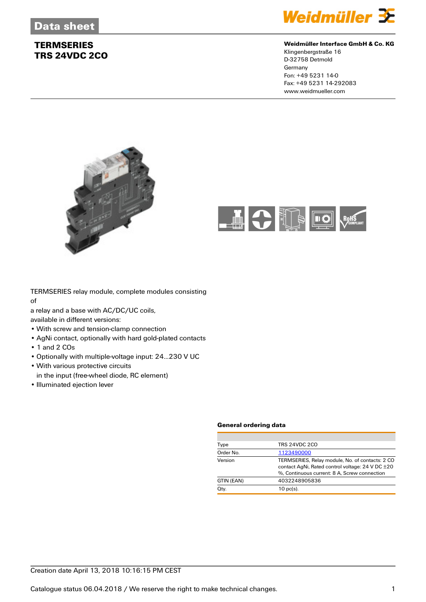

#### **Weidmüller Interface GmbH & Co. KG**

Klingenbergstraße 16 D-32758 Detmold Germany Fon: +49 5231 14-0 Fax: +49 5231 14-292083 www.weidmueller.com





TERMSERIES relay module, complete modules consisting of

a relay and a base with AC/DC/UC coils,

available in different versions:

- With screw and tension-clamp connection
- AgNi contact, optionally with hard gold-plated contacts
- 1 and 2 COs
- Optionally with multiple-voltage input: 24...230 V UC
- With various protective circuits
- in the input (free-wheel diode, RC element)
- Illuminated ejection lever

#### **General ordering data**

| <b>TRS 24VDC 2CO</b><br>Type<br>Order No.<br>1123490000                                                                                                        |
|----------------------------------------------------------------------------------------------------------------------------------------------------------------|
|                                                                                                                                                                |
|                                                                                                                                                                |
| Version<br>TERMSERIES, Relay module, No. of contacts: 2 CO<br>contact AgNi, Rated control voltage: 24 V DC ±20<br>%. Continuous current: 8 A. Screw connection |
| GTIN (EAN)<br>4032248905836                                                                                                                                    |
| Qty.<br>$10$ pc(s).                                                                                                                                            |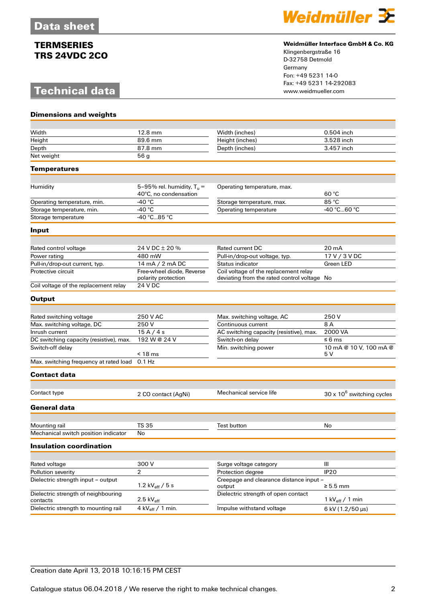# **Technical data**



#### **Weidmüller Interface GmbH & Co. KG**

Klingenbergstraße 16 D-32758 Detmold Germany Fon: +49 5231 14-0 Fax: +49 5231 14-292083

| <b>Dimensions and weights</b>                               |                                                             |                                                                                      |                                   |
|-------------------------------------------------------------|-------------------------------------------------------------|--------------------------------------------------------------------------------------|-----------------------------------|
|                                                             |                                                             |                                                                                      |                                   |
| Width                                                       | 12.8 mm                                                     | Width (inches)                                                                       | $0.504$ inch                      |
| Height                                                      | 89.6 mm                                                     | Height (inches)                                                                      | 3.528 inch                        |
| Depth                                                       | 87.8 mm                                                     | Depth (inches)                                                                       | 3.457 inch                        |
| Net weight                                                  | 56 <sub>g</sub>                                             |                                                                                      |                                   |
| Temperatures                                                |                                                             |                                                                                      |                                   |
|                                                             |                                                             |                                                                                      |                                   |
| Humidity                                                    | 5-95% rel. humidity, $T_u =$<br>40°C, no condensation       | Operating temperature, max.                                                          | 60 °C                             |
| Operating temperature, min.                                 | -40 $^{\circ}$ C                                            | Storage temperature, max.                                                            | 85 °C                             |
| Storage temperature, min.                                   | -40 °C                                                      | Operating temperature                                                                | -40 °C60 °C                       |
| Storage temperature                                         | -40 °C85 °C                                                 |                                                                                      |                                   |
| Input                                                       |                                                             |                                                                                      |                                   |
|                                                             | 24 V DC ± 20 %                                              | Rated current DC                                                                     | 20 mA                             |
| Rated control voltage                                       | 480 mW                                                      |                                                                                      |                                   |
| Power rating                                                |                                                             | Pull-in/drop-out voltage, typ.                                                       | 17 V / 3 V DC                     |
| Pull-in/drop-out current, typ.                              | 14 mA / 2 mA DC                                             | <b>Status indicator</b>                                                              | Green LED                         |
| Protective circuit<br>Coil voltage of the replacement relay | Free-wheel diode, Reverse<br>polarity protection<br>24 V DC | Coil voltage of the replacement relay<br>deviating from the rated control voltage No |                                   |
|                                                             |                                                             |                                                                                      |                                   |
| <b>Output</b>                                               |                                                             |                                                                                      |                                   |
| Rated switching voltage                                     | 250 V AC                                                    | Max. switching voltage, AC                                                           | 250 V                             |
| Max. switching voltage, DC                                  | 250V                                                        | Continuous current                                                                   | 8A                                |
| Inrush current                                              | 15A/4s                                                      | AC switching capacity (resistive), max.                                              | 2000 VA                           |
| DC switching capacity (resistive), max.                     | 192 W @ 24 V                                                | Switch-on delay                                                                      | $\leq 6$ ms                       |
| Switch-off delay                                            |                                                             | Min. switching power                                                                 | 10 mA @ 10 V, 100 mA @            |
|                                                             | $< 18$ ms                                                   |                                                                                      | 5 V                               |
| Max. switching frequency at rated load                      | $0.1$ Hz                                                    |                                                                                      |                                   |
| <b>Contact data</b>                                         |                                                             |                                                                                      |                                   |
| Contact type                                                |                                                             | Mechanical service life                                                              |                                   |
|                                                             | 2 CO contact (AgNi)                                         |                                                                                      | $30 \times 10^6$ switching cycles |
| General data                                                |                                                             |                                                                                      |                                   |
| Mounting rail                                               | TS 35                                                       | <b>Test button</b>                                                                   | No                                |
| Mechanical switch position indicator                        | No                                                          |                                                                                      |                                   |
| <b>Insulation coordination</b>                              |                                                             |                                                                                      |                                   |
|                                                             |                                                             |                                                                                      |                                   |
| Rated voltage                                               | 300 V                                                       | Surge voltage category                                                               | Ш                                 |
| Pollution severity                                          | 2                                                           | Protection dearee                                                                    | <b>IP20</b>                       |
| Dielectric strength input - output                          | 1.2 $kV_{\text{eff}}/5$ s                                   | Creepage and clearance distance input -<br>output                                    | $\geq 5.5$ mm                     |
| Dielectric strength of neighbouring<br>contacts             | $2.5 \text{ kV}_{\text{eff}}$                               | Dielectric strength of open contact                                                  | 1 kV $_{\text{eff}}$ / 1 min      |
| Dielectric strength to mounting rail                        | 4 kV $_{\text{eff}}$ / 1 min.                               | Impulse withstand voltage                                                            | 6 kV (1.2/50 µs)                  |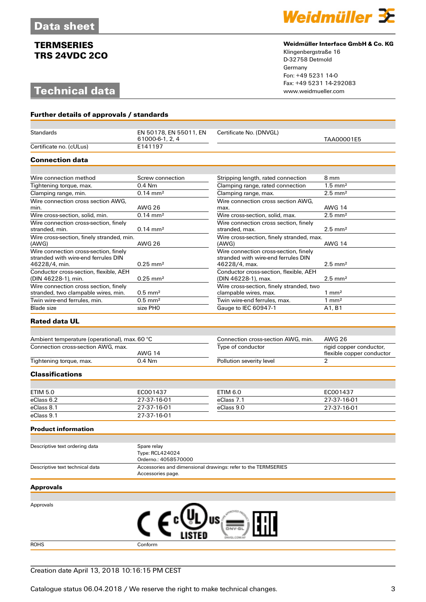# **Technical data**



#### **Weidmüller Interface GmbH & Co. KG**

Klingenbergstraße 16 D-32758 Detmold Germany Fon: +49 5231 14-0 Fax: +49 5231 14-292083

| Further details of approvals / standards                      |                                                        |                                                               |                                                      |
|---------------------------------------------------------------|--------------------------------------------------------|---------------------------------------------------------------|------------------------------------------------------|
| Standards                                                     | EN 50178, EN 55011, EN                                 | Certificate No. (DNVGL)                                       |                                                      |
|                                                               | 61000-6-1, 2, 4                                        |                                                               | TAA00001E5                                           |
| Certificate no. (cULus)                                       | E141197                                                |                                                               |                                                      |
| <b>Connection data</b>                                        |                                                        |                                                               |                                                      |
|                                                               |                                                        |                                                               |                                                      |
| Wire connection method                                        | Screw connection                                       | Stripping length, rated connection                            | 8 mm                                                 |
| Tightening torque, max.                                       | $0.4$ Nm                                               | Clamping range, rated connection                              | $1.5$ mm <sup>2</sup>                                |
| Clamping range, min.                                          | $0.14 \, \text{mm}^2$                                  | Clamping range, max.                                          | $2.5 \text{ mm}^2$                                   |
| Wire connection cross section AWG,                            |                                                        | Wire connection cross section AWG,                            |                                                      |
| min.                                                          | AWG 26                                                 | max.                                                          | <b>AWG 14</b>                                        |
| Wire cross-section, solid, min.                               | $0.14 \, \text{mm}^2$                                  | Wire cross-section, solid, max.                               | $2.5$ mm <sup>2</sup>                                |
| Wire connection cross-section, finely                         |                                                        | Wire connection cross section, finely                         |                                                      |
| stranded, min.                                                | $0.14 \text{ mm}^2$                                    | stranded, max.                                                | $2.5$ mm <sup>2</sup>                                |
| Wire cross-section, finely stranded, min.<br>(AWG)            | <b>AWG 26</b>                                          | Wire cross-section, finely stranded, max.<br>(AWG)            | <b>AWG 14</b>                                        |
| Wire connection cross-section, finely                         |                                                        | Wire connection cross-section, finely                         |                                                      |
| stranded with wire-end ferrules DIN<br>46228/4, min.          | $0.25$ mm <sup>2</sup>                                 | stranded with wire-end ferrules DIN<br>46228/4, max.          | $2.5$ mm <sup>2</sup>                                |
| Conductor cross-section, flexible, AEH<br>(DIN 46228-1), min. | $0.25$ mm <sup>2</sup>                                 | Conductor cross-section, flexible, AEH<br>(DIN 46228-1), max. | $2.5$ mm <sup>2</sup>                                |
| Wire connection cross section, finely                         |                                                        | Wire cross-section, finely stranded, two                      |                                                      |
| stranded, two clampable wires, min.                           | $0.5$ mm <sup>2</sup>                                  | clampable wires, max.                                         | $1 \text{ mm}^2$                                     |
| Twin wire-end ferrules, min.                                  | $0.5$ mm <sup>2</sup>                                  | Twin wire-end ferrules, max.                                  | $1 \text{ mm}^2$                                     |
| <b>Blade size</b>                                             | size PHO                                               | Gauge to IEC 60947-1                                          | A1, B1                                               |
| <b>Rated data UL</b>                                          |                                                        |                                                               |                                                      |
|                                                               |                                                        |                                                               |                                                      |
| Ambient temperature (operational), max. 60 °C                 |                                                        | Connection cross-section AWG, min.                            | <b>AWG 26</b>                                        |
| Connection cross-section AWG, max.                            | <b>AWG 14</b>                                          | Type of conductor                                             | rigid copper conductor,<br>flexible copper conductor |
| Tightening torque, max.                                       | $0.4$ Nm                                               | Pollution severity level                                      | $\overline{2}$                                       |
| <b>Classifications</b>                                        |                                                        |                                                               |                                                      |
|                                                               |                                                        |                                                               |                                                      |
| <b>ETIM 5.0</b>                                               | EC001437                                               | <b>ETIM 6.0</b>                                               | EC001437                                             |
| eClass 6.2                                                    | 27-37-16-01                                            | eClass 7.1                                                    | 27-37-16-01                                          |
| eClass 8.1                                                    | 27-37-16-01                                            | eClass 9.0                                                    | 27-37-16-01                                          |
| eClass 9.1                                                    | 27-37-16-01                                            |                                                               |                                                      |
| <b>Product information</b>                                    |                                                        |                                                               |                                                      |
|                                                               |                                                        |                                                               |                                                      |
| Descriptive text ordering data                                | Spare relay<br>Type: RCL424024<br>Orderno.: 4058570000 |                                                               |                                                      |
| Descriptive text technical data                               | Accessories page.                                      | Accessories and dimensional drawings: refer to the TERMSERIES |                                                      |
| Approvals                                                     |                                                        |                                                               |                                                      |
|                                                               |                                                        |                                                               |                                                      |
| Approvals                                                     |                                                        |                                                               |                                                      |
|                                                               | $\bm{\mathfrak{c}}$ $\bm{\epsilon}$                    | US                                                            |                                                      |

ROHS Conform

## Creation date April 13, 2018 10:16:15 PM CEST

Catalogue status 06.04.2018 / We reserve the right to make technical changes. 33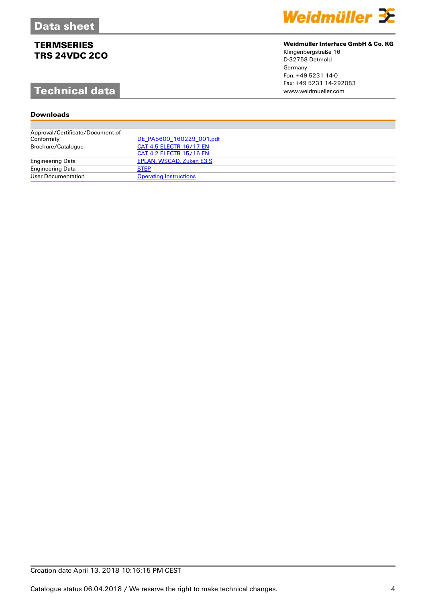Engineering Data [STEP](http://download.weidmueller.com/asset/download/file//46887)<br>User Documentation Opera

Engineering Data [EPLAN, WSCAD, Zuken E3.S](http://catalog.weidmueller.com/assets/LINK/CAE_EN.html)

**[Operating Instructions](http://download.weidmueller.com/asset/download/file//35321)** 

### **Downlo**

| Technical data                   |                          | www.weidmueller.com |
|----------------------------------|--------------------------|---------------------|
| <b>Downloads</b>                 |                          |                     |
|                                  |                          |                     |
| Approval/Certificate/Document of |                          |                     |
| Conformity                       | DE PA5600 160229 001.pdf |                     |
| Brochure/Catalogue               | CAT 4.5 ELECTR 16/17 EN  |                     |
|                                  | CAT 4.2 ELECTR 15/16 EN  |                     |



#### **Weidmüller Interface GmbH & Co. KG**

Klingenbergstraße 16 D-32758 Detmold Germany Fon: +49 5231 14-0 Fax: +49 5231 14-292083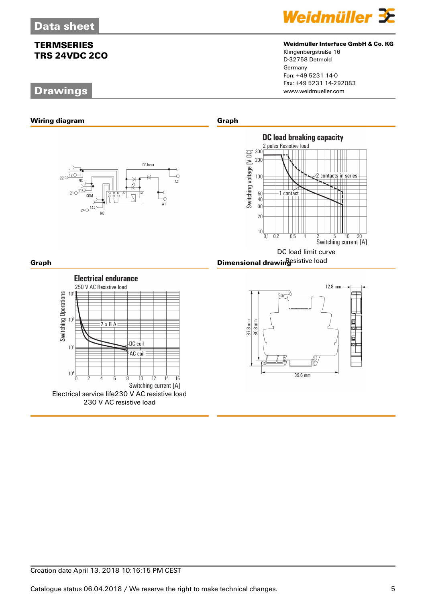## **Drawings**



## **Weidmüller Interface GmbH & Co. KG**

Klingenbergstraße 16 D-32758 Detmold Germany Fon: +49 5231 14-0 Fax: +49 5231 14-292083



Creation date April 13, 2018 10:16:15 PM CEST

Catalogue status 06.04.2018 / We reserve the right to make technical changes. 5